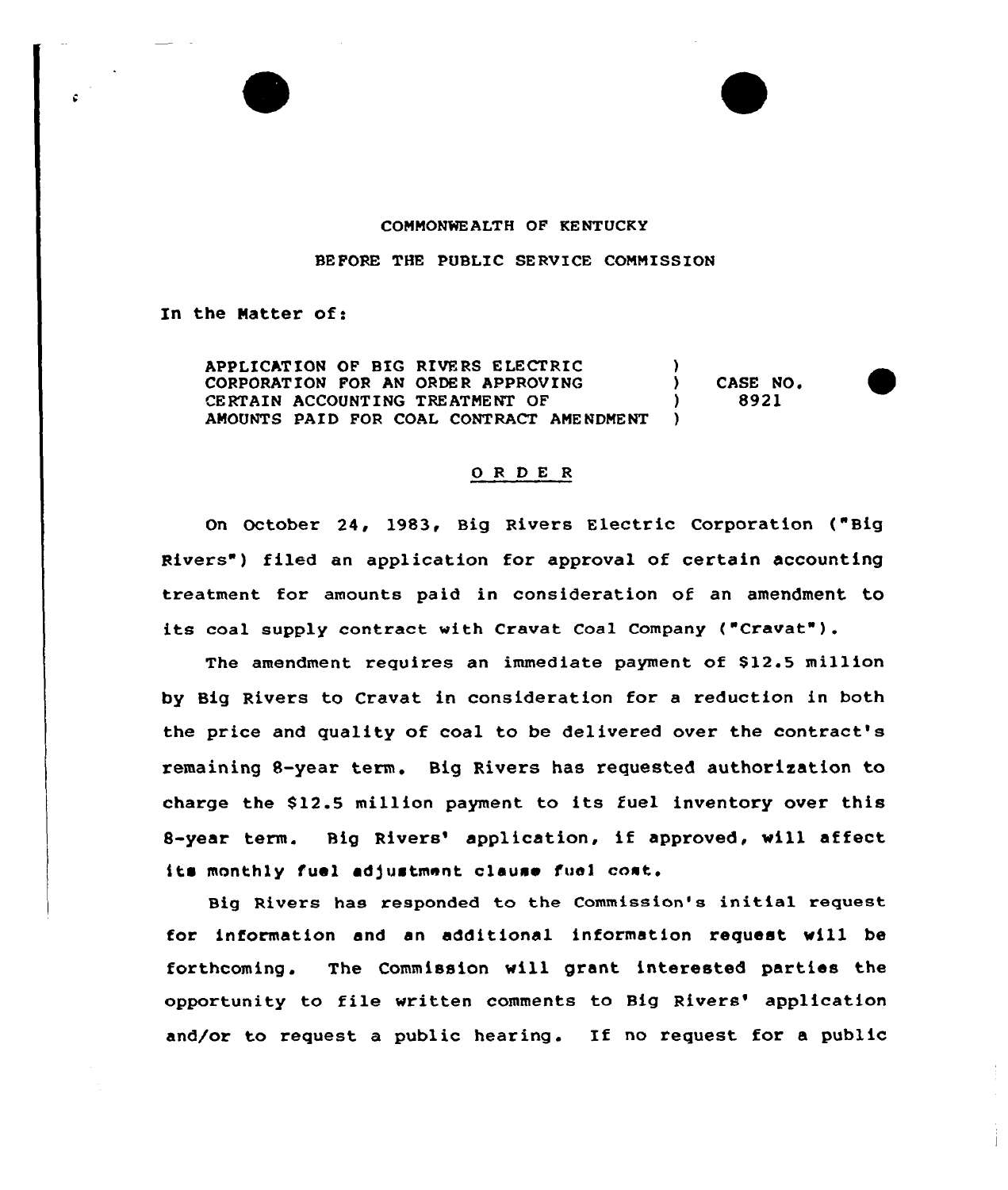## COMMONWEALTH OF KENTUCKY

BEFORE THE PUBLIC SERVICE COMMISSION

In the Matter of:

APPLICATION OF BIG RIVERS ELECTRIC (a) CORPORATION FOR AN ORDER APPROVING  $\begin{array}{ccc} \text{CORPORT} & \text{O} & \text{CASE NO} \\ \text{CERTAIN ACCOUNTING TREATMENT OF} & \text{O} & \text{O} & \text{O} & \text{O} \end{array}$ CERTAIN ACCOUNTING TREATMENT OF AMOUNTS PAID FOR COAL CONTRACT AMENDMENT )

## ORDER

On October 24, 1983, Big Rivers Electric Corporation ( "Big Rivers") filed an application for approval of certain accounting treatment for amounts paid in consideration of an amendment to its coal supply contract vith Cravat Coal Company ("Cravat" ).

The amendment requires an immediate payment of \$12.5 million by Big Rivers to Cravat in consideration for a reduction in both the price and quality of coal to be delivered over the contract's remaining 8-year term. Big Rivers has requested authorization to charge the 812.5 million payment to its fuel inventory over this 8-year term. Big Rivers' application, if approved, will affect its monthly fuel adjustment clause fuel cost.

Big Rivers has responded to the Commission's initial request for information and an additional information request will be forthcoming. The Commission will grant interested parties the opportunity to file written comments to Big Rivers' application and/or to request a public hearing. If no request for a public